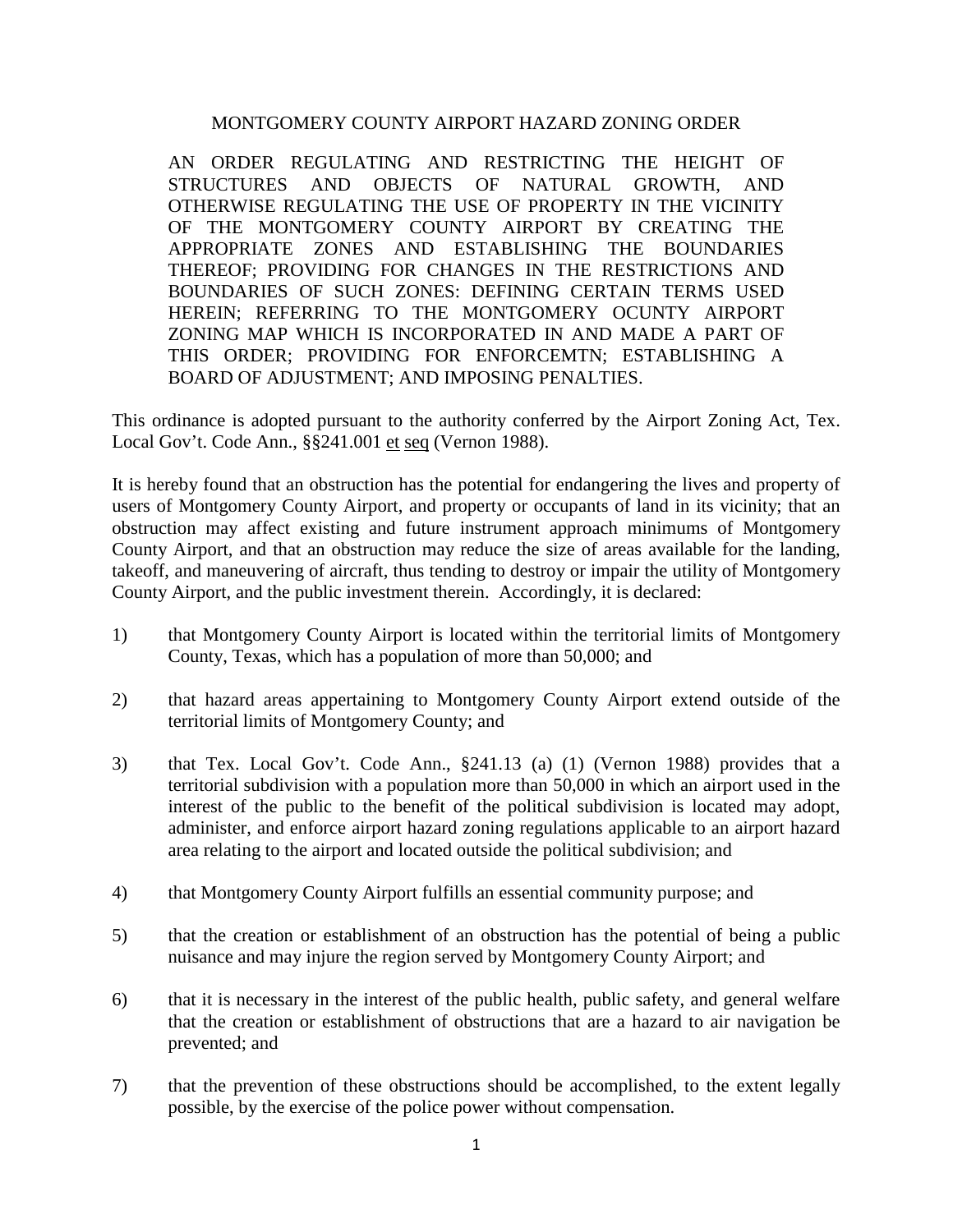## MONTGOMERY COUNTY AIRPORT HAZARD ZONING ORDER

AN ORDER REGULATING AND RESTRICTING THE HEIGHT OF STRUCTURES AND OBJECTS OF NATURAL GROWTH, AND OTHERWISE REGULATING THE USE OF PROPERTY IN THE VICINITY OF THE MONTGOMERY COUNTY AIRPORT BY CREATING THE APPROPRIATE ZONES AND ESTABLISHING THE BOUNDARIES THEREOF; PROVIDING FOR CHANGES IN THE RESTRICTIONS AND BOUNDARIES OF SUCH ZONES: DEFINING CERTAIN TERMS USED HEREIN; REFERRING TO THE MONTGOMERY OCUNTY AIRPORT ZONING MAP WHICH IS INCORPORATED IN AND MADE A PART OF THIS ORDER; PROVIDING FOR ENFORCEMTN; ESTABLISHING A BOARD OF ADJUSTMENT; AND IMPOSING PENALTIES.

This ordinance is adopted pursuant to the authority conferred by the Airport Zoning Act, Tex. Local Gov't. Code Ann., §§241.001 et seq (Vernon 1988).

It is hereby found that an obstruction has the potential for endangering the lives and property of users of Montgomery County Airport, and property or occupants of land in its vicinity; that an obstruction may affect existing and future instrument approach minimums of Montgomery County Airport, and that an obstruction may reduce the size of areas available for the landing, takeoff, and maneuvering of aircraft, thus tending to destroy or impair the utility of Montgomery County Airport, and the public investment therein. Accordingly, it is declared:

- 1) that Montgomery County Airport is located within the territorial limits of Montgomery County, Texas, which has a population of more than 50,000; and
- 2) that hazard areas appertaining to Montgomery County Airport extend outside of the territorial limits of Montgomery County; and
- 3) that Tex. Local Gov't. Code Ann., §241.13 (a) (1) (Vernon 1988) provides that a territorial subdivision with a population more than 50,000 in which an airport used in the interest of the public to the benefit of the political subdivision is located may adopt, administer, and enforce airport hazard zoning regulations applicable to an airport hazard area relating to the airport and located outside the political subdivision; and
- 4) that Montgomery County Airport fulfills an essential community purpose; and
- 5) that the creation or establishment of an obstruction has the potential of being a public nuisance and may injure the region served by Montgomery County Airport; and
- 6) that it is necessary in the interest of the public health, public safety, and general welfare that the creation or establishment of obstructions that are a hazard to air navigation be prevented; and
- 7) that the prevention of these obstructions should be accomplished, to the extent legally possible, by the exercise of the police power without compensation.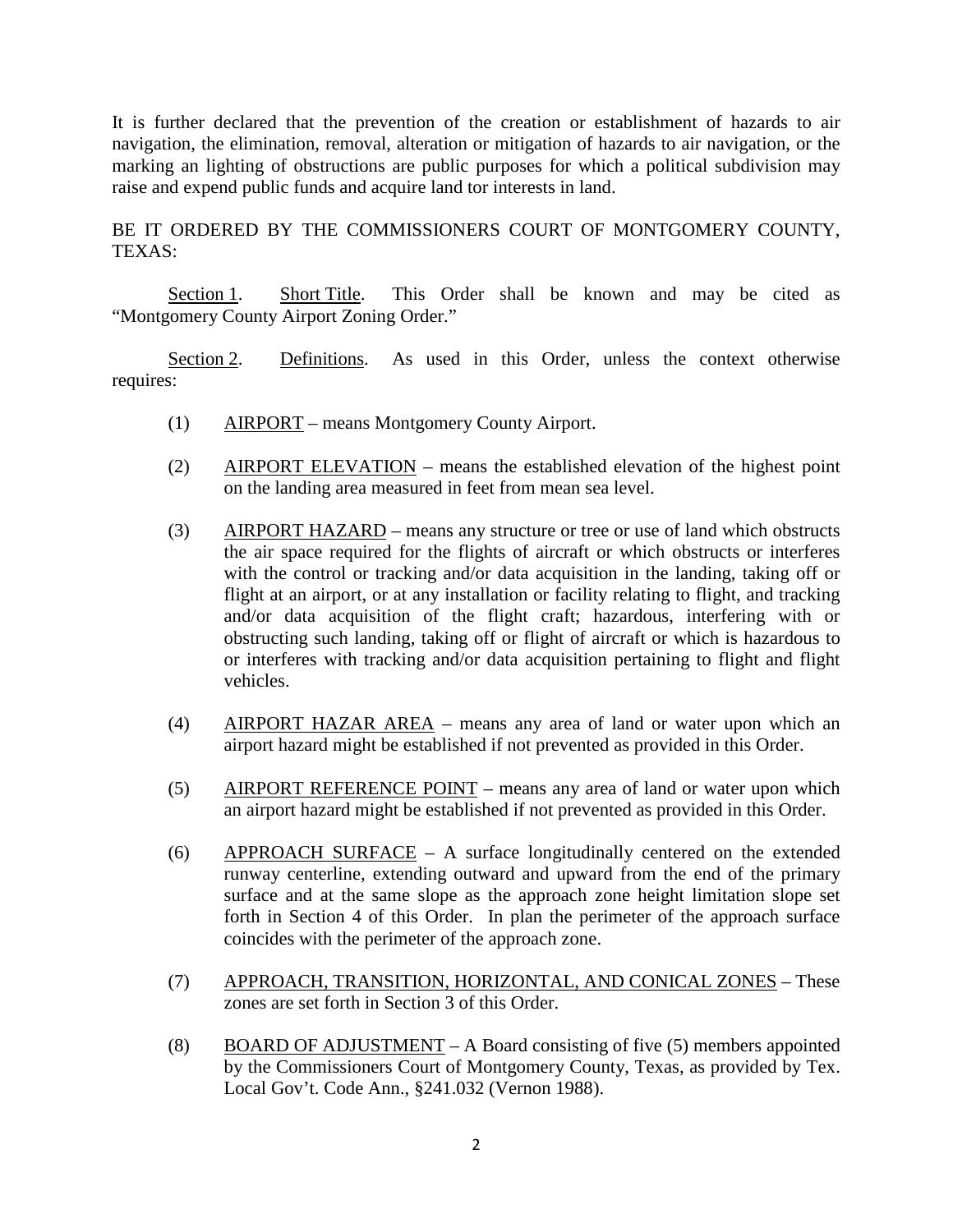It is further declared that the prevention of the creation or establishment of hazards to air navigation, the elimination, removal, alteration or mitigation of hazards to air navigation, or the marking an lighting of obstructions are public purposes for which a political subdivision may raise and expend public funds and acquire land tor interests in land.

BE IT ORDERED BY THE COMMISSIONERS COURT OF MONTGOMERY COUNTY, TEXAS:

Section 1. Short Title. This Order shall be known and may be cited as "Montgomery County Airport Zoning Order."

Section 2. Definitions. As used in this Order, unless the context otherwise requires:

- (1) AIRPORT means Montgomery County Airport.
- (2) AIRPORT ELEVATION means the established elevation of the highest point on the landing area measured in feet from mean sea level.
- (3) AIRPORT HAZARD means any structure or tree or use of land which obstructs the air space required for the flights of aircraft or which obstructs or interferes with the control or tracking and/or data acquisition in the landing, taking off or flight at an airport, or at any installation or facility relating to flight, and tracking and/or data acquisition of the flight craft; hazardous, interfering with or obstructing such landing, taking off or flight of aircraft or which is hazardous to or interferes with tracking and/or data acquisition pertaining to flight and flight vehicles.
- (4) AIRPORT HAZAR AREA means any area of land or water upon which an airport hazard might be established if not prevented as provided in this Order.
- (5) AIRPORT REFERENCE POINT means any area of land or water upon which an airport hazard might be established if not prevented as provided in this Order.
- (6) APPROACH SURFACE A surface longitudinally centered on the extended runway centerline, extending outward and upward from the end of the primary surface and at the same slope as the approach zone height limitation slope set forth in Section 4 of this Order. In plan the perimeter of the approach surface coincides with the perimeter of the approach zone.
- (7) APPROACH, TRANSITION, HORIZONTAL, AND CONICAL ZONES These zones are set forth in Section 3 of this Order.
- (8) BOARD OF ADJUSTMENT A Board consisting of five  $(5)$  members appointed by the Commissioners Court of Montgomery County, Texas, as provided by Tex. Local Gov't. Code Ann., §241.032 (Vernon 1988).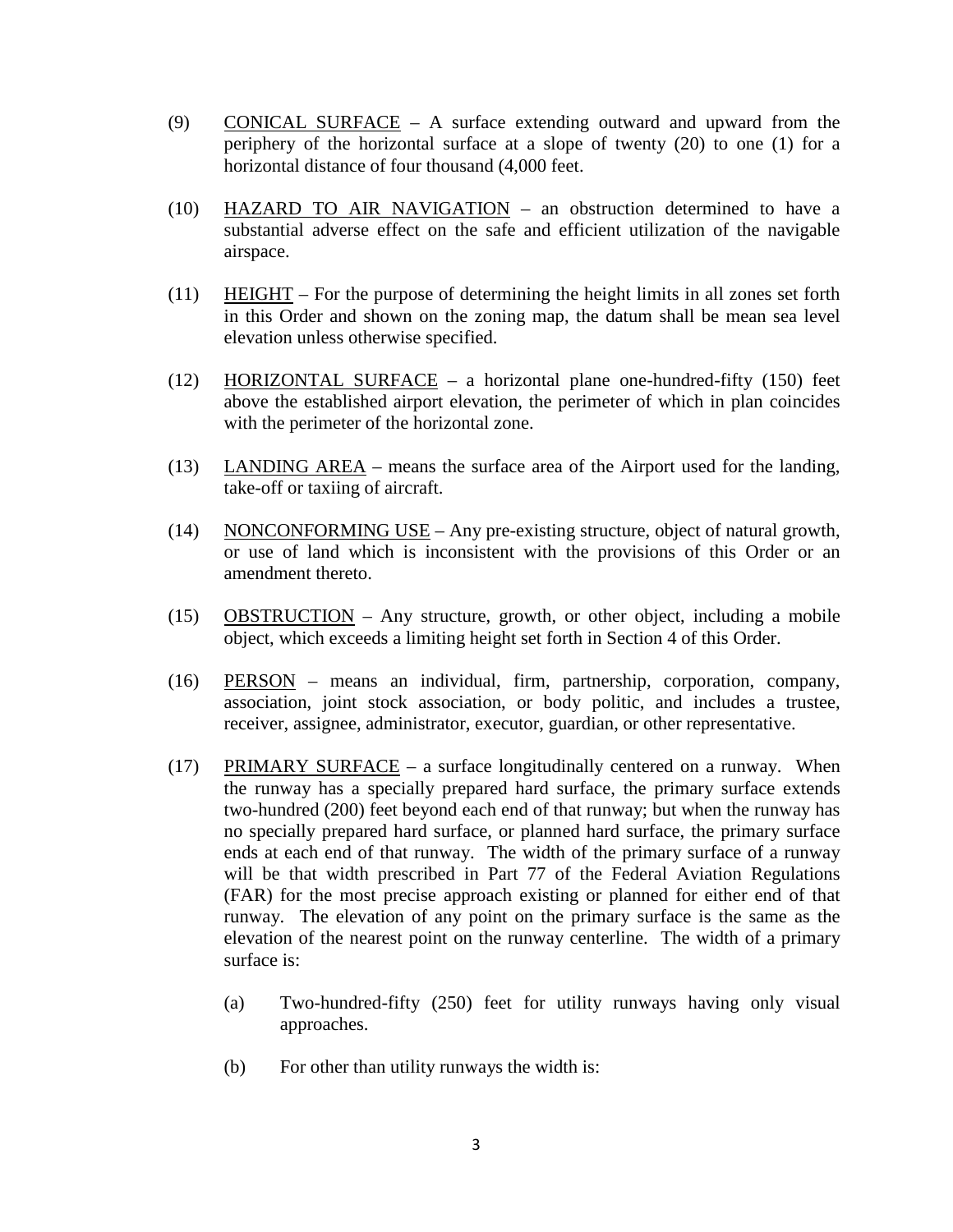- (9) CONICAL SURFACE A surface extending outward and upward from the periphery of the horizontal surface at a slope of twenty (20) to one (1) for a horizontal distance of four thousand (4,000 feet.
- (10) HAZARD TO AIR NAVIGATION an obstruction determined to have a substantial adverse effect on the safe and efficient utilization of the navigable airspace.
- (11) HEIGHT For the purpose of determining the height limits in all zones set forth in this Order and shown on the zoning map, the datum shall be mean sea level elevation unless otherwise specified.
- (12) HORIZONTAL SURFACE a horizontal plane one-hundred-fifty (150) feet above the established airport elevation, the perimeter of which in plan coincides with the perimeter of the horizontal zone.
- (13) LANDING AREA means the surface area of the Airport used for the landing, take-off or taxiing of aircraft.
- (14) NONCONFORMING USE Any pre-existing structure, object of natural growth, or use of land which is inconsistent with the provisions of this Order or an amendment thereto.
- (15) OBSTRUCTION Any structure, growth, or other object, including a mobile object, which exceeds a limiting height set forth in Section 4 of this Order.
- (16) PERSON means an individual, firm, partnership, corporation, company, association, joint stock association, or body politic, and includes a trustee, receiver, assignee, administrator, executor, guardian, or other representative.
- (17) PRIMARY SURFACE a surface longitudinally centered on a runway. When the runway has a specially prepared hard surface, the primary surface extends two-hundred (200) feet beyond each end of that runway; but when the runway has no specially prepared hard surface, or planned hard surface, the primary surface ends at each end of that runway. The width of the primary surface of a runway will be that width prescribed in Part 77 of the Federal Aviation Regulations (FAR) for the most precise approach existing or planned for either end of that runway. The elevation of any point on the primary surface is the same as the elevation of the nearest point on the runway centerline. The width of a primary surface is:
	- (a) Two-hundred-fifty (250) feet for utility runways having only visual approaches.
	- (b) For other than utility runways the width is: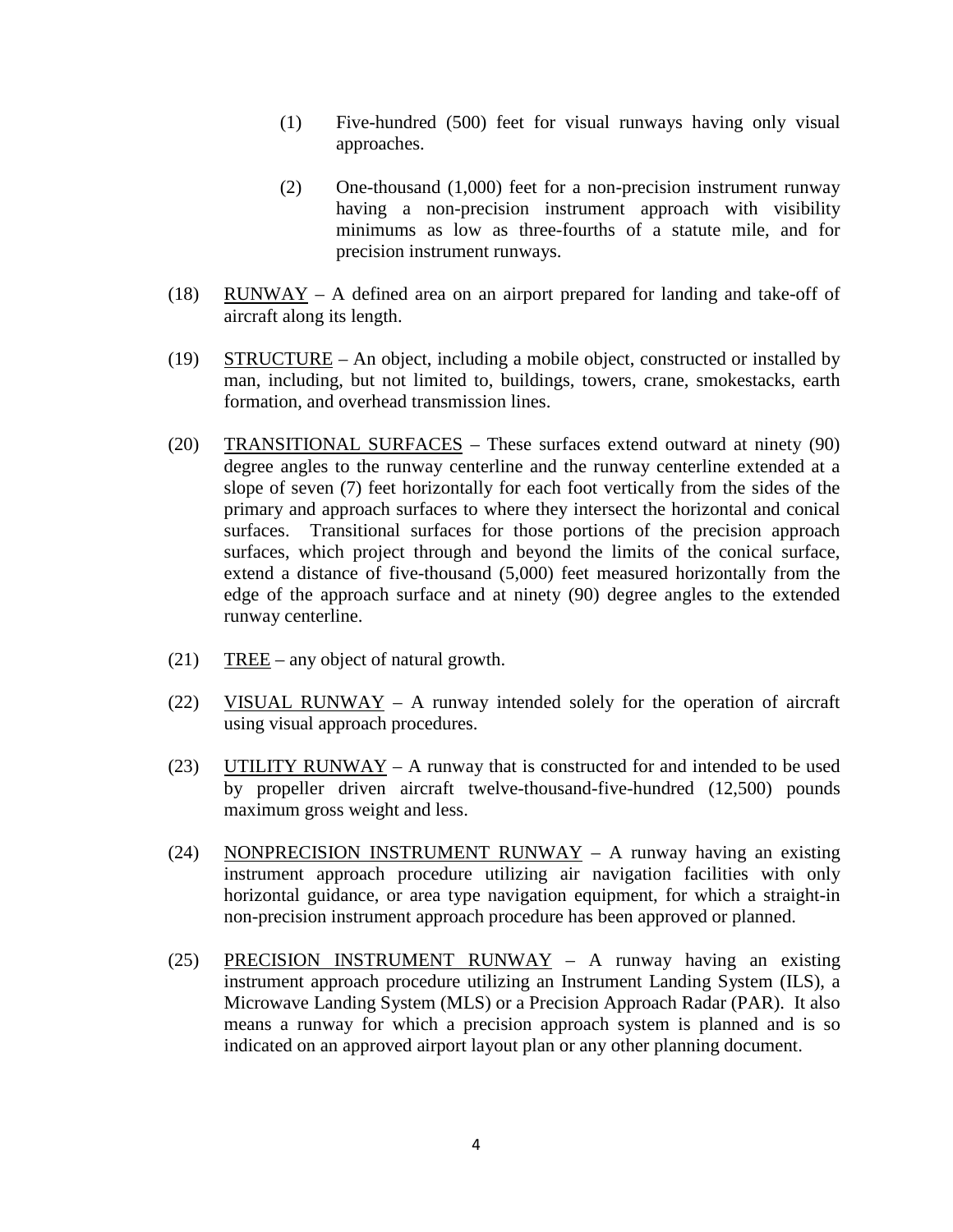- (1) Five-hundred (500) feet for visual runways having only visual approaches.
- (2) One-thousand (1,000) feet for a non-precision instrument runway having a non-precision instrument approach with visibility minimums as low as three-fourths of a statute mile, and for precision instrument runways.
- (18) RUNWAY A defined area on an airport prepared for landing and take-off of aircraft along its length.
- (19) STRUCTURE An object, including a mobile object, constructed or installed by man, including, but not limited to, buildings, towers, crane, smokestacks, earth formation, and overhead transmission lines.
- (20) TRANSITIONAL SURFACES These surfaces extend outward at ninety (90) degree angles to the runway centerline and the runway centerline extended at a slope of seven (7) feet horizontally for each foot vertically from the sides of the primary and approach surfaces to where they intersect the horizontal and conical surfaces. Transitional surfaces for those portions of the precision approach surfaces, which project through and beyond the limits of the conical surface, extend a distance of five-thousand (5,000) feet measured horizontally from the edge of the approach surface and at ninety (90) degree angles to the extended runway centerline.
- (21) TREE any object of natural growth.
- (22) VISUAL RUNWAY A runway intended solely for the operation of aircraft using visual approach procedures.
- (23) UTILITY RUNWAY A runway that is constructed for and intended to be used by propeller driven aircraft twelve-thousand-five-hundred (12,500) pounds maximum gross weight and less.
- (24) NONPRECISION INSTRUMENT RUNWAY A runway having an existing instrument approach procedure utilizing air navigation facilities with only horizontal guidance, or area type navigation equipment, for which a straight-in non-precision instrument approach procedure has been approved or planned.
- (25) PRECISION INSTRUMENT RUNWAY A runway having an existing instrument approach procedure utilizing an Instrument Landing System (ILS), a Microwave Landing System (MLS) or a Precision Approach Radar (PAR). It also means a runway for which a precision approach system is planned and is so indicated on an approved airport layout plan or any other planning document.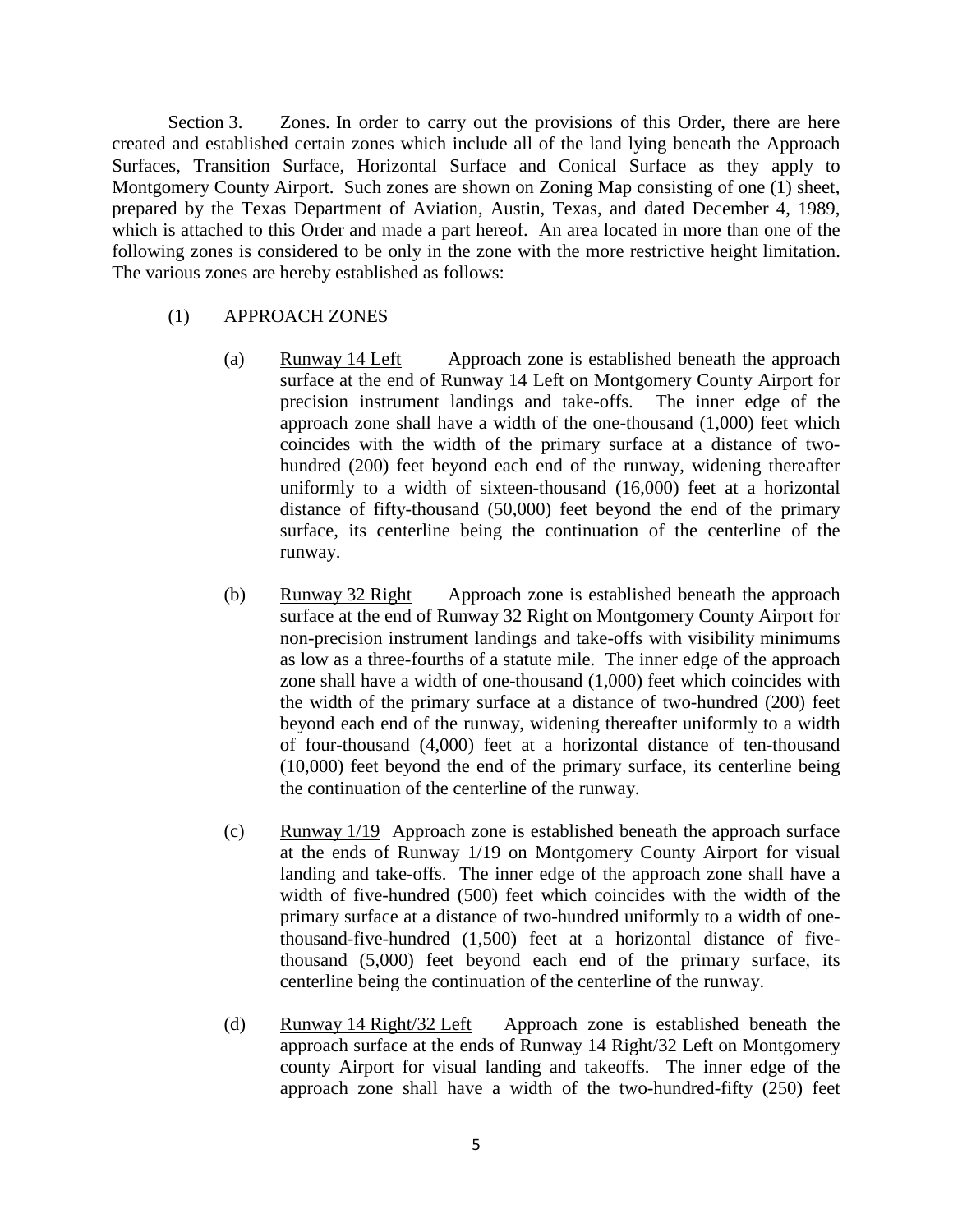Section 3. Zones. In order to carry out the provisions of this Order, there are here created and established certain zones which include all of the land lying beneath the Approach Surfaces, Transition Surface, Horizontal Surface and Conical Surface as they apply to Montgomery County Airport. Such zones are shown on Zoning Map consisting of one (1) sheet, prepared by the Texas Department of Aviation, Austin, Texas, and dated December 4, 1989, which is attached to this Order and made a part hereof. An area located in more than one of the following zones is considered to be only in the zone with the more restrictive height limitation. The various zones are hereby established as follows:

- (1) APPROACH ZONES
	- (a) Runway 14 Left Approach zone is established beneath the approach surface at the end of Runway 14 Left on Montgomery County Airport for precision instrument landings and take-offs. The inner edge of the approach zone shall have a width of the one-thousand (1,000) feet which coincides with the width of the primary surface at a distance of twohundred (200) feet beyond each end of the runway, widening thereafter uniformly to a width of sixteen-thousand (16,000) feet at a horizontal distance of fifty-thousand (50,000) feet beyond the end of the primary surface, its centerline being the continuation of the centerline of the runway.
	- (b) Runway 32 Right Approach zone is established beneath the approach surface at the end of Runway 32 Right on Montgomery County Airport for non-precision instrument landings and take-offs with visibility minimums as low as a three-fourths of a statute mile. The inner edge of the approach zone shall have a width of one-thousand (1,000) feet which coincides with the width of the primary surface at a distance of two-hundred (200) feet beyond each end of the runway, widening thereafter uniformly to a width of four-thousand (4,000) feet at a horizontal distance of ten-thousand (10,000) feet beyond the end of the primary surface, its centerline being the continuation of the centerline of the runway.
	- (c) Runway 1/19 Approach zone is established beneath the approach surface at the ends of Runway 1/19 on Montgomery County Airport for visual landing and take-offs. The inner edge of the approach zone shall have a width of five-hundred (500) feet which coincides with the width of the primary surface at a distance of two-hundred uniformly to a width of onethousand-five-hundred (1,500) feet at a horizontal distance of fivethousand (5,000) feet beyond each end of the primary surface, its centerline being the continuation of the centerline of the runway.
	- (d) Runway 14 Right/32 Left Approach zone is established beneath the approach surface at the ends of Runway 14 Right/32 Left on Montgomery county Airport for visual landing and takeoffs. The inner edge of the approach zone shall have a width of the two-hundred-fifty (250) feet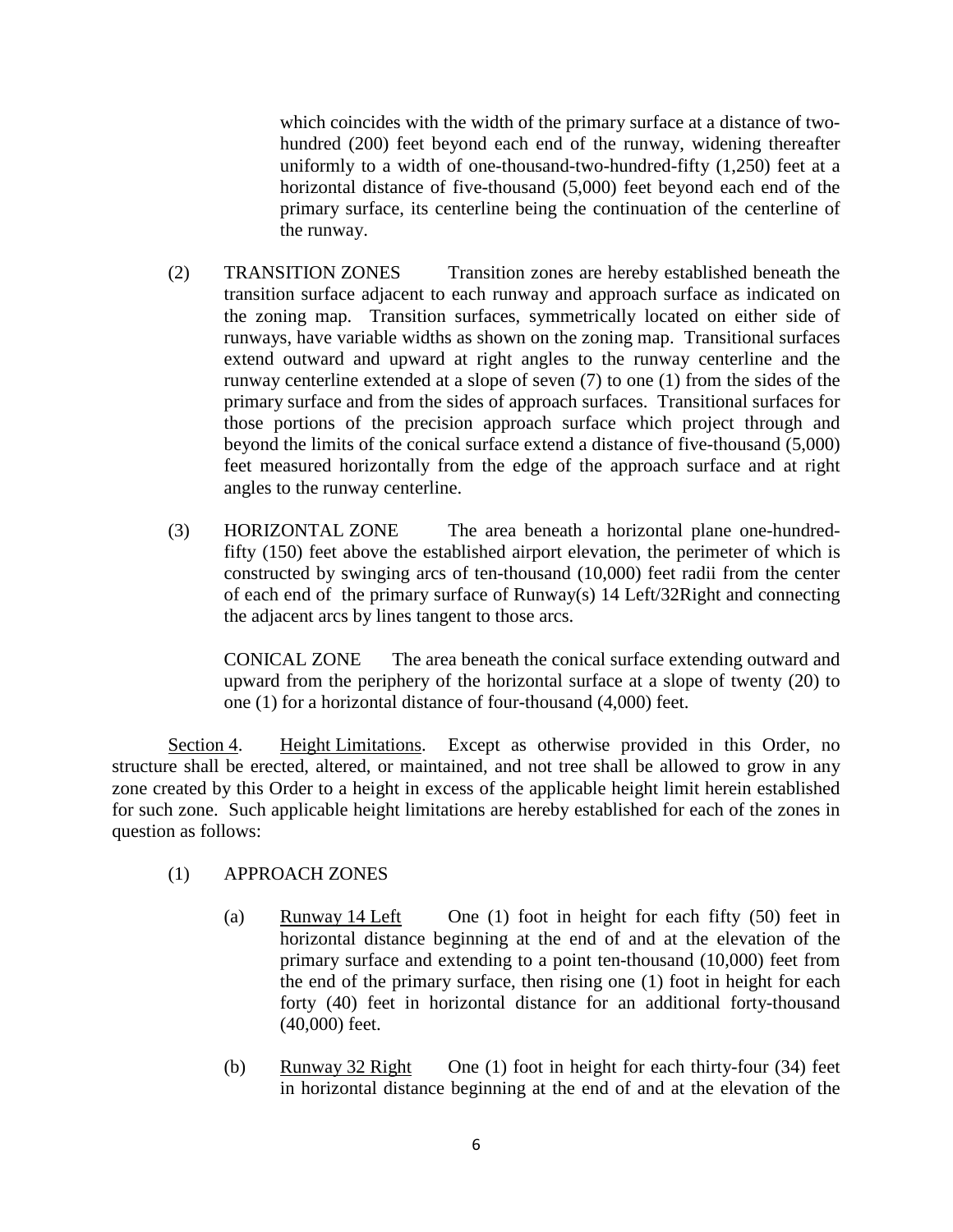which coincides with the width of the primary surface at a distance of twohundred (200) feet beyond each end of the runway, widening thereafter uniformly to a width of one-thousand-two-hundred-fifty (1,250) feet at a horizontal distance of five-thousand (5,000) feet beyond each end of the primary surface, its centerline being the continuation of the centerline of the runway.

- (2) TRANSITION ZONES Transition zones are hereby established beneath the transition surface adjacent to each runway and approach surface as indicated on the zoning map. Transition surfaces, symmetrically located on either side of runways, have variable widths as shown on the zoning map. Transitional surfaces extend outward and upward at right angles to the runway centerline and the runway centerline extended at a slope of seven (7) to one (1) from the sides of the primary surface and from the sides of approach surfaces. Transitional surfaces for those portions of the precision approach surface which project through and beyond the limits of the conical surface extend a distance of five-thousand (5,000) feet measured horizontally from the edge of the approach surface and at right angles to the runway centerline.
- (3) HORIZONTAL ZONE The area beneath a horizontal plane one-hundredfifty (150) feet above the established airport elevation, the perimeter of which is constructed by swinging arcs of ten-thousand (10,000) feet radii from the center of each end of the primary surface of Runway(s) 14 Left/32Right and connecting the adjacent arcs by lines tangent to those arcs.

CONICAL ZONE The area beneath the conical surface extending outward and upward from the periphery of the horizontal surface at a slope of twenty (20) to one (1) for a horizontal distance of four-thousand (4,000) feet.

Section 4. Height Limitations. Except as otherwise provided in this Order, no structure shall be erected, altered, or maintained, and not tree shall be allowed to grow in any zone created by this Order to a height in excess of the applicable height limit herein established for such zone. Such applicable height limitations are hereby established for each of the zones in question as follows:

- (1) APPROACH ZONES
	- (a) Runway 14 Left One (1) foot in height for each fifty (50) feet in horizontal distance beginning at the end of and at the elevation of the primary surface and extending to a point ten-thousand (10,000) feet from the end of the primary surface, then rising one (1) foot in height for each forty (40) feet in horizontal distance for an additional forty-thousand (40,000) feet.
	- (b) Runway 32 Right One (1) foot in height for each thirty-four (34) feet in horizontal distance beginning at the end of and at the elevation of the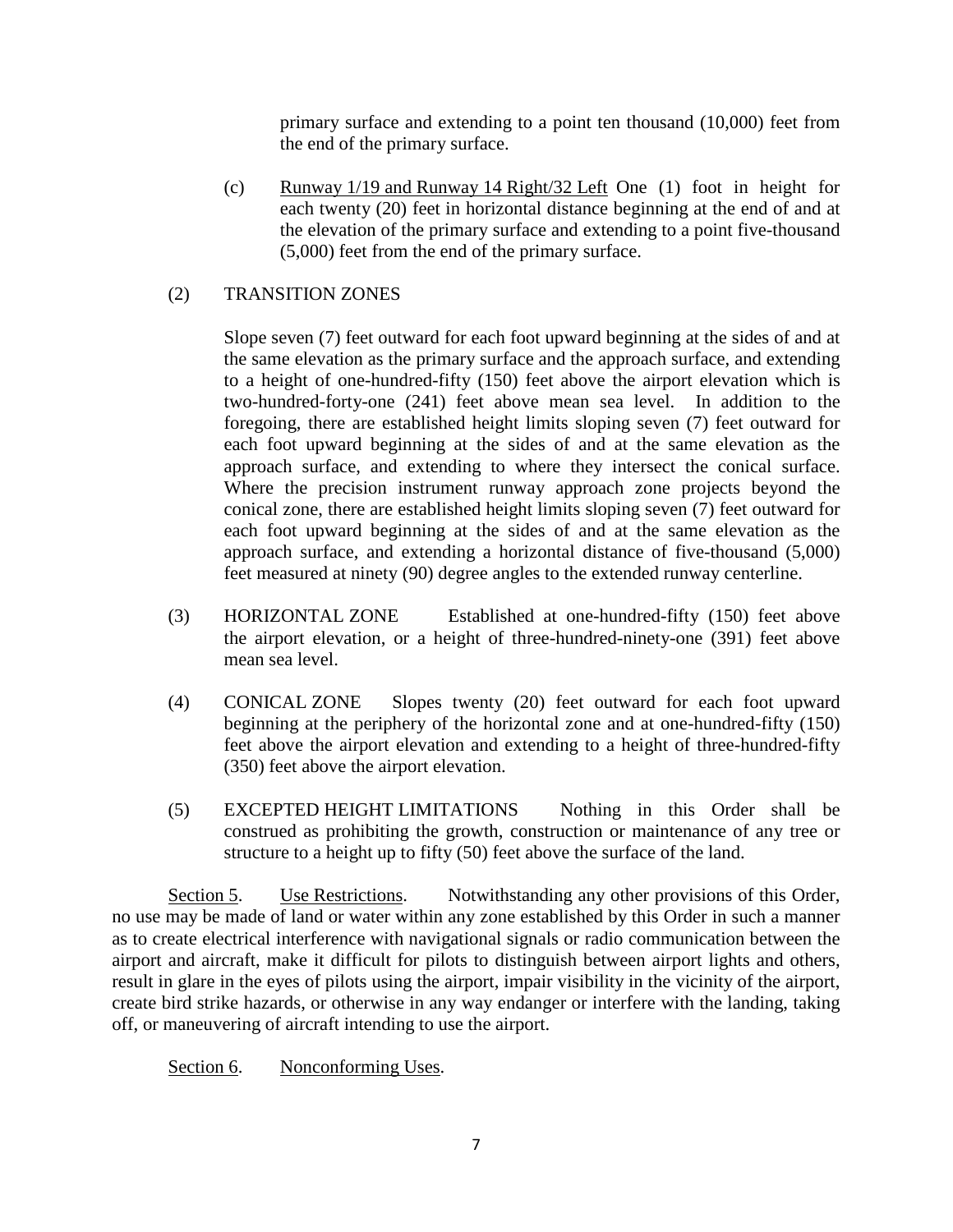primary surface and extending to a point ten thousand (10,000) feet from the end of the primary surface.

(c) Runway 1/19 and Runway 14 Right/32 Left One (1) foot in height for each twenty (20) feet in horizontal distance beginning at the end of and at the elevation of the primary surface and extending to a point five-thousand (5,000) feet from the end of the primary surface.

# (2) TRANSITION ZONES

Slope seven (7) feet outward for each foot upward beginning at the sides of and at the same elevation as the primary surface and the approach surface, and extending to a height of one-hundred-fifty (150) feet above the airport elevation which is two-hundred-forty-one (241) feet above mean sea level. In addition to the foregoing, there are established height limits sloping seven (7) feet outward for each foot upward beginning at the sides of and at the same elevation as the approach surface, and extending to where they intersect the conical surface. Where the precision instrument runway approach zone projects beyond the conical zone, there are established height limits sloping seven (7) feet outward for each foot upward beginning at the sides of and at the same elevation as the approach surface, and extending a horizontal distance of five-thousand (5,000) feet measured at ninety (90) degree angles to the extended runway centerline.

- (3) HORIZONTAL ZONE Established at one-hundred-fifty (150) feet above the airport elevation, or a height of three-hundred-ninety-one (391) feet above mean sea level.
- (4) CONICAL ZONE Slopes twenty (20) feet outward for each foot upward beginning at the periphery of the horizontal zone and at one-hundred-fifty (150) feet above the airport elevation and extending to a height of three-hundred-fifty (350) feet above the airport elevation.
- (5) EXCEPTED HEIGHT LIMITATIONS Nothing in this Order shall be construed as prohibiting the growth, construction or maintenance of any tree or structure to a height up to fifty (50) feet above the surface of the land.

Section 5. Use Restrictions. Notwithstanding any other provisions of this Order, no use may be made of land or water within any zone established by this Order in such a manner as to create electrical interference with navigational signals or radio communication between the airport and aircraft, make it difficult for pilots to distinguish between airport lights and others, result in glare in the eyes of pilots using the airport, impair visibility in the vicinity of the airport, create bird strike hazards, or otherwise in any way endanger or interfere with the landing, taking off, or maneuvering of aircraft intending to use the airport.

Section 6. Nonconforming Uses.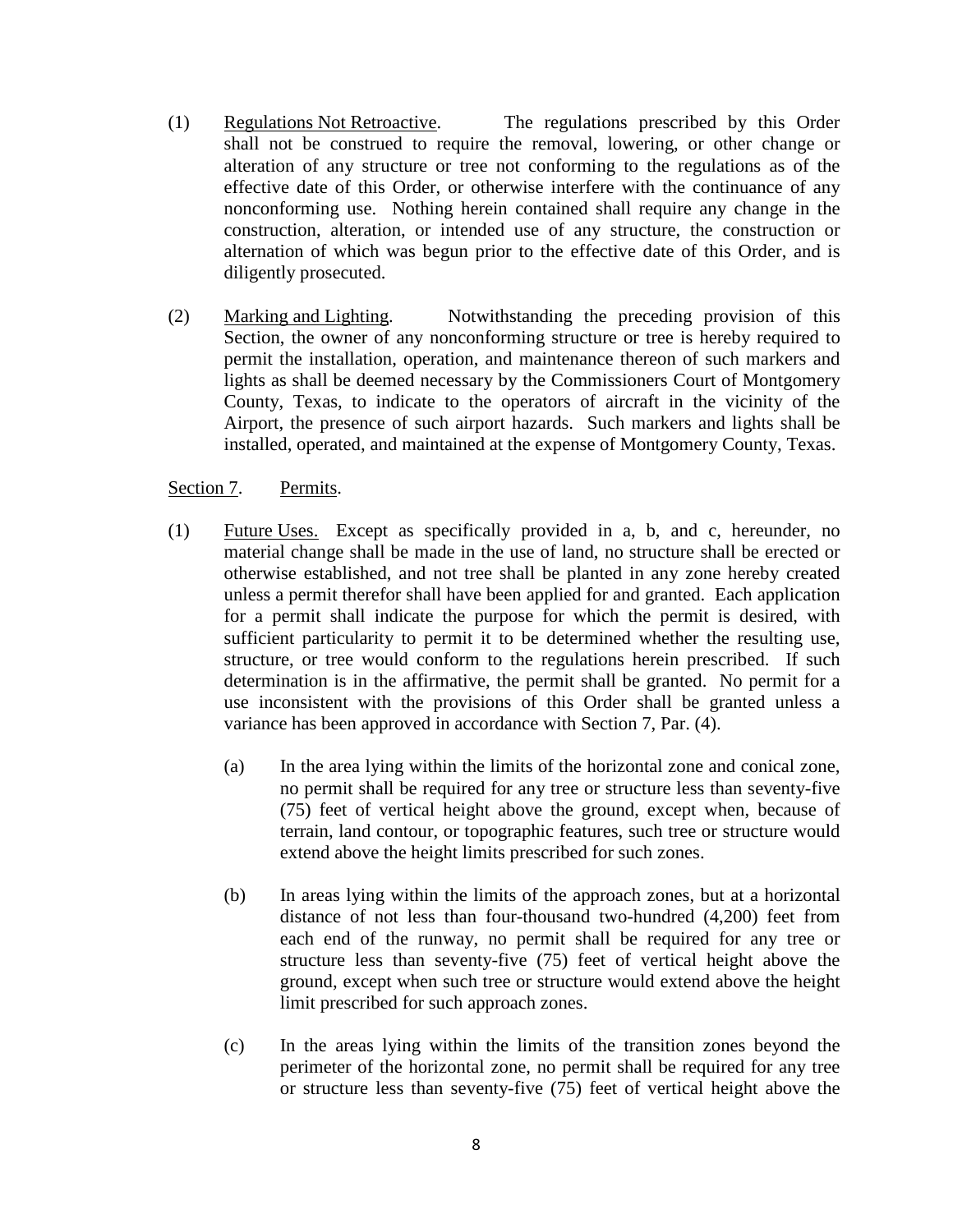- (1) Regulations Not Retroactive. The regulations prescribed by this Order shall not be construed to require the removal, lowering, or other change or alteration of any structure or tree not conforming to the regulations as of the effective date of this Order, or otherwise interfere with the continuance of any nonconforming use. Nothing herein contained shall require any change in the construction, alteration, or intended use of any structure, the construction or alternation of which was begun prior to the effective date of this Order, and is diligently prosecuted.
- (2) Marking and Lighting. Notwithstanding the preceding provision of this Section, the owner of any nonconforming structure or tree is hereby required to permit the installation, operation, and maintenance thereon of such markers and lights as shall be deemed necessary by the Commissioners Court of Montgomery County, Texas, to indicate to the operators of aircraft in the vicinity of the Airport, the presence of such airport hazards. Such markers and lights shall be installed, operated, and maintained at the expense of Montgomery County, Texas.

## Section 7. Permits.

- (1) Future Uses. Except as specifically provided in a, b, and c, hereunder, no material change shall be made in the use of land, no structure shall be erected or otherwise established, and not tree shall be planted in any zone hereby created unless a permit therefor shall have been applied for and granted. Each application for a permit shall indicate the purpose for which the permit is desired, with sufficient particularity to permit it to be determined whether the resulting use, structure, or tree would conform to the regulations herein prescribed. If such determination is in the affirmative, the permit shall be granted. No permit for a use inconsistent with the provisions of this Order shall be granted unless a variance has been approved in accordance with Section 7, Par. (4).
	- (a) In the area lying within the limits of the horizontal zone and conical zone, no permit shall be required for any tree or structure less than seventy-five (75) feet of vertical height above the ground, except when, because of terrain, land contour, or topographic features, such tree or structure would extend above the height limits prescribed for such zones.
	- (b) In areas lying within the limits of the approach zones, but at a horizontal distance of not less than four-thousand two-hundred (4,200) feet from each end of the runway, no permit shall be required for any tree or structure less than seventy-five (75) feet of vertical height above the ground, except when such tree or structure would extend above the height limit prescribed for such approach zones.
	- (c) In the areas lying within the limits of the transition zones beyond the perimeter of the horizontal zone, no permit shall be required for any tree or structure less than seventy-five (75) feet of vertical height above the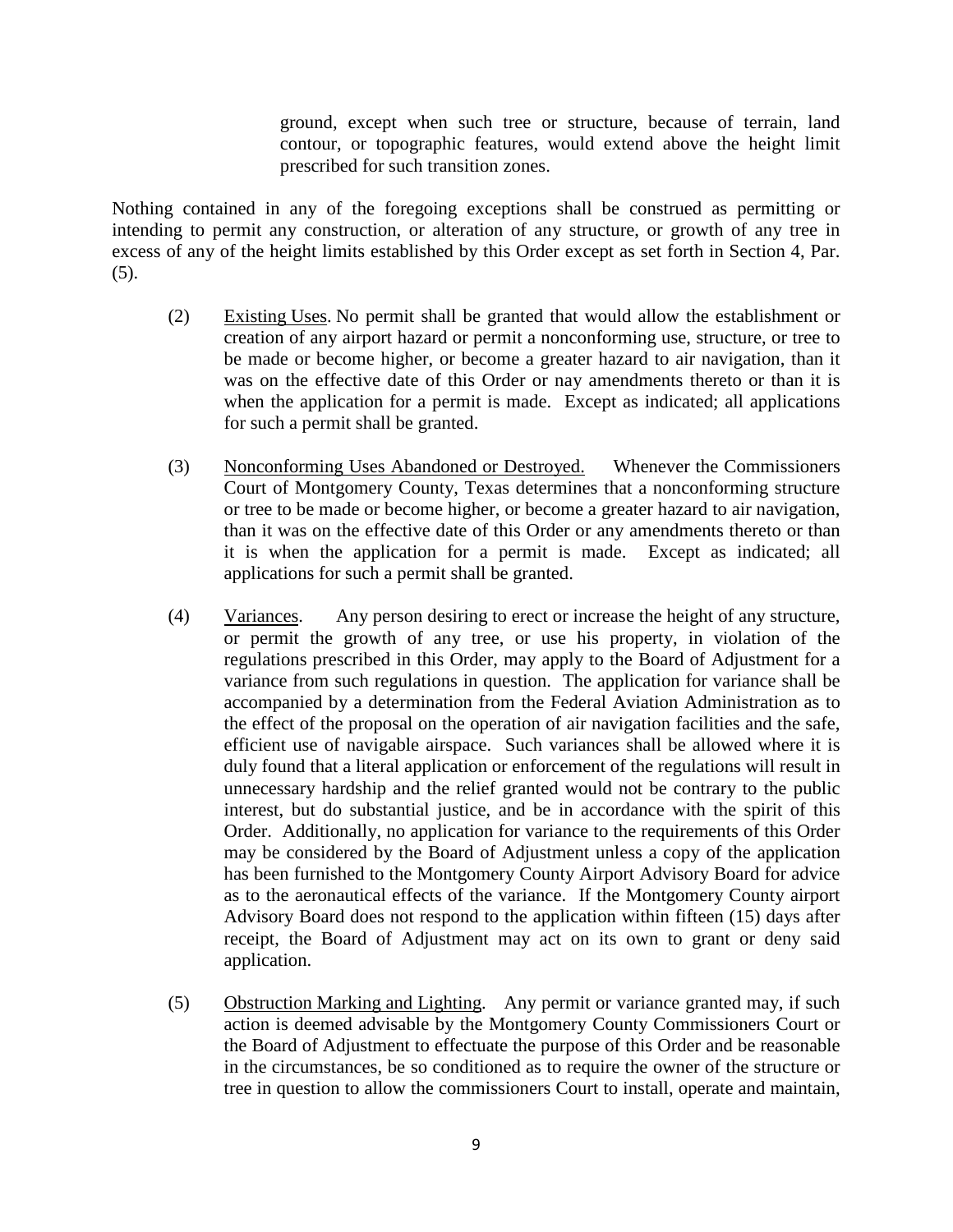ground, except when such tree or structure, because of terrain, land contour, or topographic features, would extend above the height limit prescribed for such transition zones.

Nothing contained in any of the foregoing exceptions shall be construed as permitting or intending to permit any construction, or alteration of any structure, or growth of any tree in excess of any of the height limits established by this Order except as set forth in Section 4, Par. (5).

- (2) Existing Uses. No permit shall be granted that would allow the establishment or creation of any airport hazard or permit a nonconforming use, structure, or tree to be made or become higher, or become a greater hazard to air navigation, than it was on the effective date of this Order or nay amendments thereto or than it is when the application for a permit is made. Except as indicated; all applications for such a permit shall be granted.
- (3) Nonconforming Uses Abandoned or Destroyed. Whenever the Commissioners Court of Montgomery County, Texas determines that a nonconforming structure or tree to be made or become higher, or become a greater hazard to air navigation, than it was on the effective date of this Order or any amendments thereto or than it is when the application for a permit is made. Except as indicated; all applications for such a permit shall be granted.
- (4) Variances. Any person desiring to erect or increase the height of any structure, or permit the growth of any tree, or use his property, in violation of the regulations prescribed in this Order, may apply to the Board of Adjustment for a variance from such regulations in question. The application for variance shall be accompanied by a determination from the Federal Aviation Administration as to the effect of the proposal on the operation of air navigation facilities and the safe, efficient use of navigable airspace. Such variances shall be allowed where it is duly found that a literal application or enforcement of the regulations will result in unnecessary hardship and the relief granted would not be contrary to the public interest, but do substantial justice, and be in accordance with the spirit of this Order. Additionally, no application for variance to the requirements of this Order may be considered by the Board of Adjustment unless a copy of the application has been furnished to the Montgomery County Airport Advisory Board for advice as to the aeronautical effects of the variance. If the Montgomery County airport Advisory Board does not respond to the application within fifteen (15) days after receipt, the Board of Adjustment may act on its own to grant or deny said application.
- (5) Obstruction Marking and Lighting. Any permit or variance granted may, if such action is deemed advisable by the Montgomery County Commissioners Court or the Board of Adjustment to effectuate the purpose of this Order and be reasonable in the circumstances, be so conditioned as to require the owner of the structure or tree in question to allow the commissioners Court to install, operate and maintain,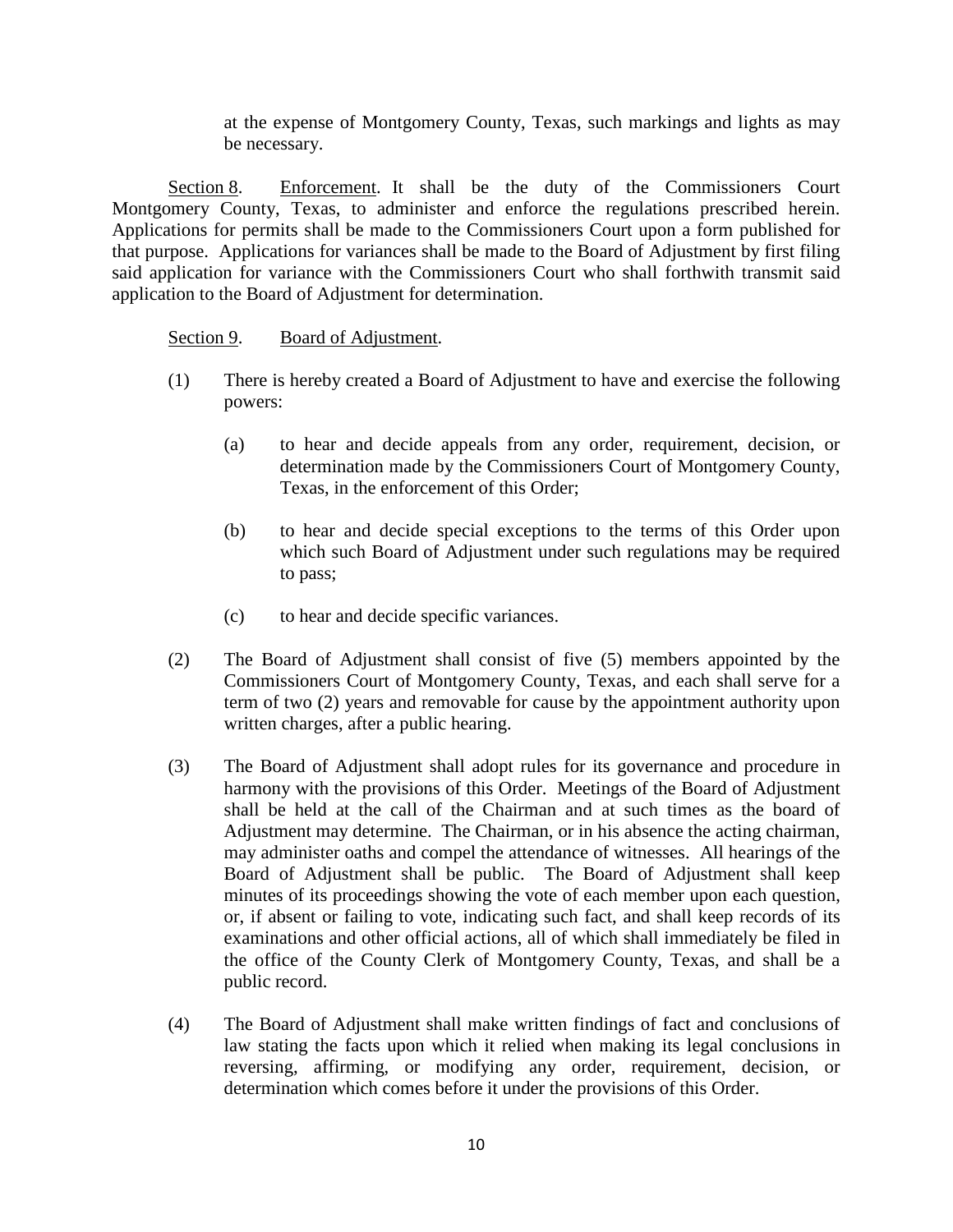at the expense of Montgomery County, Texas, such markings and lights as may be necessary.

Section 8. Enforcement. It shall be the duty of the Commissioners Court Montgomery County, Texas, to administer and enforce the regulations prescribed herein. Applications for permits shall be made to the Commissioners Court upon a form published for that purpose. Applications for variances shall be made to the Board of Adjustment by first filing said application for variance with the Commissioners Court who shall forthwith transmit said application to the Board of Adjustment for determination.

#### Section 9. Board of Adjustment.

- (1) There is hereby created a Board of Adjustment to have and exercise the following powers:
	- (a) to hear and decide appeals from any order, requirement, decision, or determination made by the Commissioners Court of Montgomery County, Texas, in the enforcement of this Order;
	- (b) to hear and decide special exceptions to the terms of this Order upon which such Board of Adjustment under such regulations may be required to pass;
	- (c) to hear and decide specific variances.
- (2) The Board of Adjustment shall consist of five (5) members appointed by the Commissioners Court of Montgomery County, Texas, and each shall serve for a term of two (2) years and removable for cause by the appointment authority upon written charges, after a public hearing.
- (3) The Board of Adjustment shall adopt rules for its governance and procedure in harmony with the provisions of this Order. Meetings of the Board of Adjustment shall be held at the call of the Chairman and at such times as the board of Adjustment may determine. The Chairman, or in his absence the acting chairman, may administer oaths and compel the attendance of witnesses. All hearings of the Board of Adjustment shall be public. The Board of Adjustment shall keep minutes of its proceedings showing the vote of each member upon each question, or, if absent or failing to vote, indicating such fact, and shall keep records of its examinations and other official actions, all of which shall immediately be filed in the office of the County Clerk of Montgomery County, Texas, and shall be a public record.
- (4) The Board of Adjustment shall make written findings of fact and conclusions of law stating the facts upon which it relied when making its legal conclusions in reversing, affirming, or modifying any order, requirement, decision, or determination which comes before it under the provisions of this Order.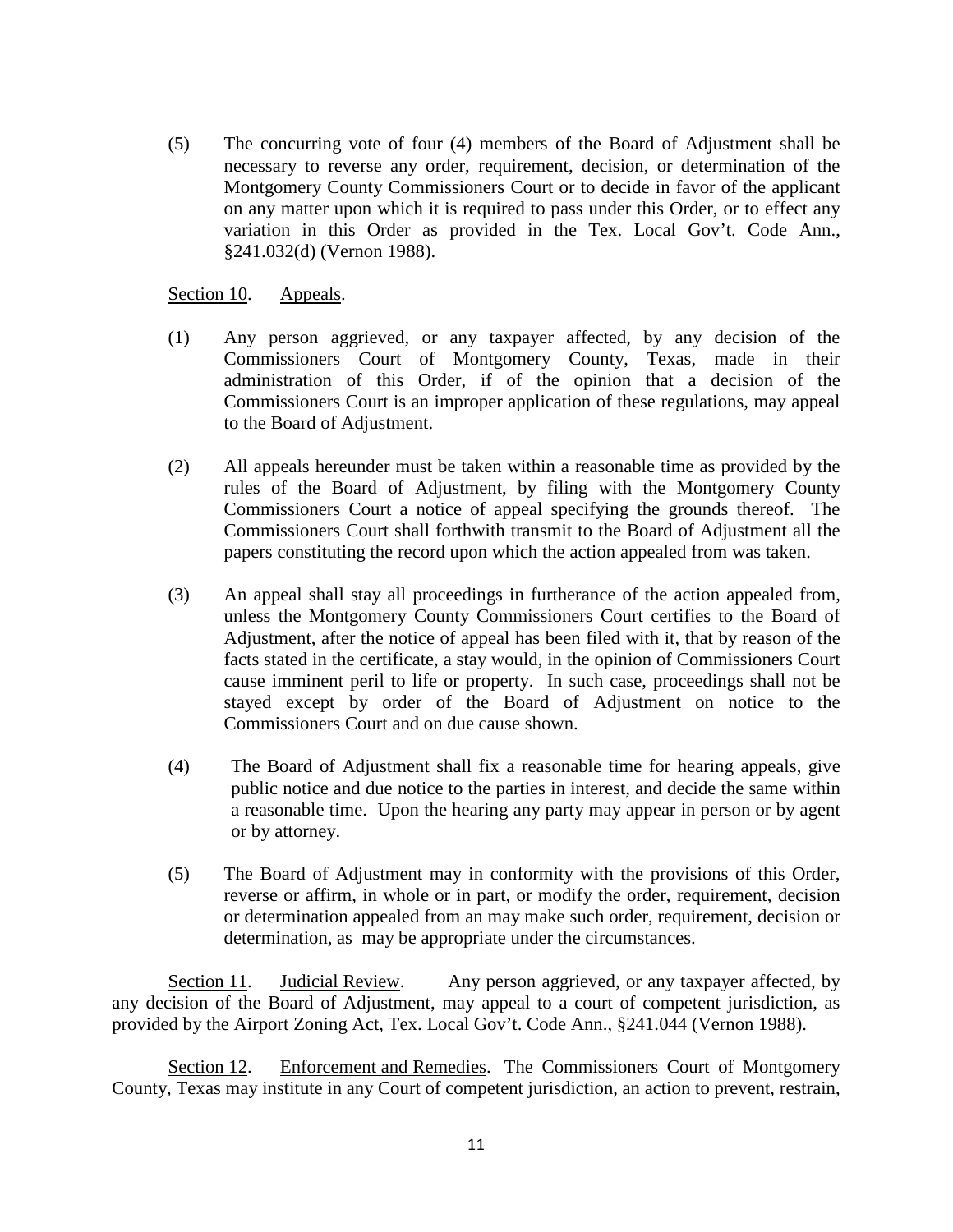(5) The concurring vote of four (4) members of the Board of Adjustment shall be necessary to reverse any order, requirement, decision, or determination of the Montgomery County Commissioners Court or to decide in favor of the applicant on any matter upon which it is required to pass under this Order, or to effect any variation in this Order as provided in the Tex. Local Gov't. Code Ann., §241.032(d) (Vernon 1988).

#### Section 10. Appeals.

- (1) Any person aggrieved, or any taxpayer affected, by any decision of the Commissioners Court of Montgomery County, Texas, made in their administration of this Order, if of the opinion that a decision of the Commissioners Court is an improper application of these regulations, may appeal to the Board of Adjustment.
- (2) All appeals hereunder must be taken within a reasonable time as provided by the rules of the Board of Adjustment, by filing with the Montgomery County Commissioners Court a notice of appeal specifying the grounds thereof. The Commissioners Court shall forthwith transmit to the Board of Adjustment all the papers constituting the record upon which the action appealed from was taken.
- (3) An appeal shall stay all proceedings in furtherance of the action appealed from, unless the Montgomery County Commissioners Court certifies to the Board of Adjustment, after the notice of appeal has been filed with it, that by reason of the facts stated in the certificate, a stay would, in the opinion of Commissioners Court cause imminent peril to life or property. In such case, proceedings shall not be stayed except by order of the Board of Adjustment on notice to the Commissioners Court and on due cause shown.
- (4) The Board of Adjustment shall fix a reasonable time for hearing appeals, give public notice and due notice to the parties in interest, and decide the same within a reasonable time. Upon the hearing any party may appear in person or by agent or by attorney.
- (5) The Board of Adjustment may in conformity with the provisions of this Order, reverse or affirm, in whole or in part, or modify the order, requirement, decision or determination appealed from an may make such order, requirement, decision or determination, as may be appropriate under the circumstances.

Section 11. Judicial Review. Any person aggrieved, or any taxpayer affected, by any decision of the Board of Adjustment, may appeal to a court of competent jurisdiction, as provided by the Airport Zoning Act, Tex. Local Gov't. Code Ann., §241.044 (Vernon 1988).

Section 12. Enforcement and Remedies. The Commissioners Court of Montgomery County, Texas may institute in any Court of competent jurisdiction, an action to prevent, restrain,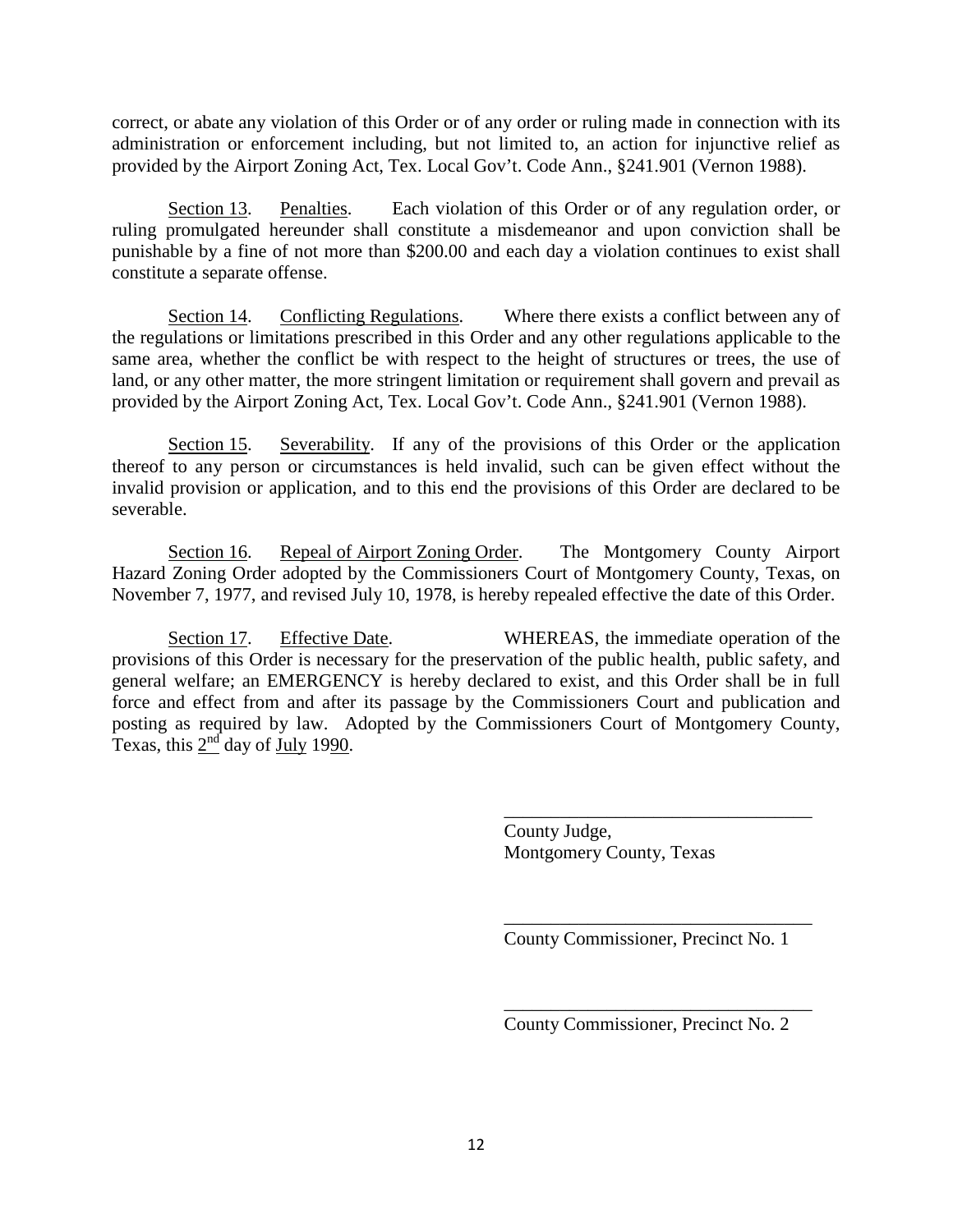correct, or abate any violation of this Order or of any order or ruling made in connection with its administration or enforcement including, but not limited to, an action for injunctive relief as provided by the Airport Zoning Act, Tex. Local Gov't. Code Ann., §241.901 (Vernon 1988).

Section 13. Penalties. Each violation of this Order or of any regulation order, or ruling promulgated hereunder shall constitute a misdemeanor and upon conviction shall be punishable by a fine of not more than \$200.00 and each day a violation continues to exist shall constitute a separate offense.

Section 14. Conflicting Regulations. Where there exists a conflict between any of the regulations or limitations prescribed in this Order and any other regulations applicable to the same area, whether the conflict be with respect to the height of structures or trees, the use of land, or any other matter, the more stringent limitation or requirement shall govern and prevail as provided by the Airport Zoning Act, Tex. Local Gov't. Code Ann., §241.901 (Vernon 1988).

Section 15. Severability. If any of the provisions of this Order or the application thereof to any person or circumstances is held invalid, such can be given effect without the invalid provision or application, and to this end the provisions of this Order are declared to be severable.

Section 16. Repeal of Airport Zoning Order. The Montgomery County Airport Hazard Zoning Order adopted by the Commissioners Court of Montgomery County, Texas, on November 7, 1977, and revised July 10, 1978, is hereby repealed effective the date of this Order.

Section 17. Effective Date. WHEREAS, the immediate operation of the provisions of this Order is necessary for the preservation of the public health, public safety, and general welfare; an EMERGENCY is hereby declared to exist, and this Order shall be in full force and effect from and after its passage by the Commissioners Court and publication and posting as required by law. Adopted by the Commissioners Court of Montgomery County, Texas, this  $2<sup>nd</sup>$  day of July 1990.

> County Judge, Montgomery County, Texas

County Commissioner, Precinct No. 1

\_\_\_\_\_\_\_\_\_\_\_\_\_\_\_\_\_\_\_\_\_\_\_\_\_\_\_\_\_\_\_\_\_

\_\_\_\_\_\_\_\_\_\_\_\_\_\_\_\_\_\_\_\_\_\_\_\_\_\_\_\_\_\_\_\_\_

\_\_\_\_\_\_\_\_\_\_\_\_\_\_\_\_\_\_\_\_\_\_\_\_\_\_\_\_\_\_\_\_\_ County Commissioner, Precinct No. 2